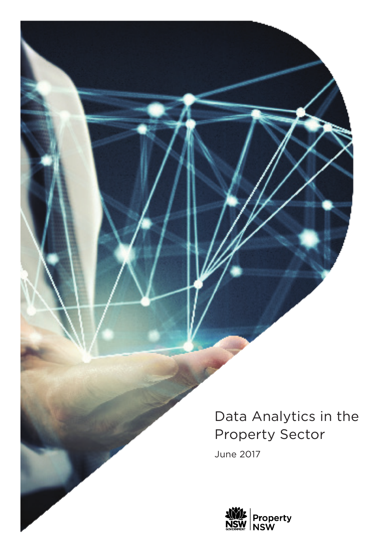Data Analytics in the Property Sector

June 2017

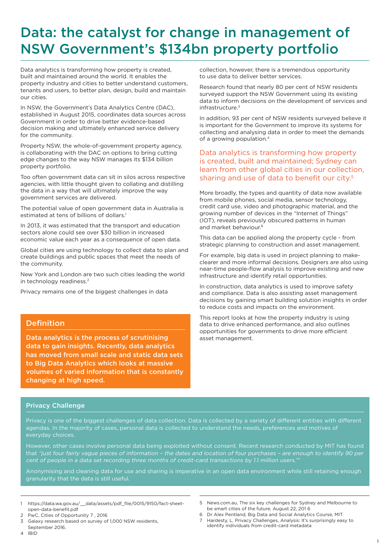# Data: the catalyst for change in management of NSW Government's \$134bn property portfolio

Data analytics is transforming how property is created, built and maintained around the world. It enables the property industry and cities to better understand customers, tenants and users, to better plan, design, build and maintain our cities.

In NSW, the Government's Data Analytics Centre (DAC), established in August 2015, coordinates data sources across Government in order to drive better evidence-based decision making and ultimately enhanced service delivery for the community.

Property NSW, the whole-of-government property agency, is collaborating with the DAC on options to bring cutting edge changes to the way NSW manages its \$134 billion property portfolio.

Too often government data can sit in silos across respective agencies, with little thought given to collating and distilling the data in a way that will ultimately improve the way government services are delivered.

The potential value of open government data in Australia is estimated at tens of billions of dollars.<sup>1</sup>

In 2013, it was estimated that the transport and education sectors alone could see over \$30 billion in increased economic value each year as a consequence of open data.

Global cities are using technology to collect data to plan and create buildings and public spaces that meet the needs of the community.

New York and London are two such cities leading the world in technology readiness.2

Privacy remains one of the biggest challenges in data

### Definition

Data analytics is the process of scrutinising data to gain insights. Recently, data analytics has moved from small scale and static data sets to Big Data Analytics which looks at massive volumes of varied information that is constantly changing at high speed.

collection, however, there is a tremendous opportunity to use data to deliver better services.

Research found that nearly 80 per cent of NSW residents surveyed support the NSW Government using its existing data to inform decisions on the development of services and infrastructure.3

In addition, 93 per cent of NSW residents surveyed believe it is important for the Government to improve its systems for collecting and analysing data in order to meet the demands of a growing population.4

### Data analytics is transforming how property is created, built and maintained; Sydney can learn from other global cities in our collection, sharing and use of data to benefit our city.<sup>5</sup>

More broadly, the types and quantity of data now available from mobile phones, social media, sensor technology, credit card use, video and photographic material, and the growing number of devices in the "Internet of Things" (IOT), reveals previously obscured patterns in human and market behaviour.<sup>6</sup>

This data can be applied along the property cycle - from strategic planning to construction and asset management.

For example, big data is used in project planning to makeclearer and more informal decisions. Designers are also using near-time people-flow analysis to improve existing and new infrastructure and identify retail opportunities.

In construction, data analytics is used to improve safety and compliance. Data is also assisting asset management decisions by gaining smart building solution insights in order to reduce costs and impacts on the environment.

This report looks at how the property industry is using data to drive enhanced performance, and also outlines opportunities for governments to drive more efficient asset management.

### Privacy Challenge

Privacy is one of the biggest challenges of data collection. Data is collected by a variety of different entities with different agendas. In the majority of cases, personal data is collected to understand the needs, preferences and motives of everyday choices.

However, other cases involve personal data being exploited without consent. Recent research conducted by MIT has found that "just four fairly vague pieces of information – the dates and location of four purchases – are enough to identify 90 per cent of people in a data set recording three months of credit-card transactions by 1.1 million users."<sup>7</sup>

Anonymising and cleaning data for use and sharing is imperative in an open data environment while still retaining enough granularity that the data is still useful.

- 1 https://data.wa.gov.au/\_\_data/assets/pdf\_file/0015/9150/fact-sheetopen-data-benefit.pdf
- 2 PwC, Cities of Opportunity 7 , 2016
- 3 Galaxy research based on survey of 1,000 NSW residents, September 2016.
- 4 IBID
- 5 News.com.au, The six key challenges for Sydney and Melbourne to be smart cities of the future, August 22, 201 6
- 6 Dr Alex Pentland, Big Data and Social Analytics Course, MIT
- Hardesty, L. Privacy Challenges, Analysis: It's surprisingly easy to identify individuals from credit-card metadata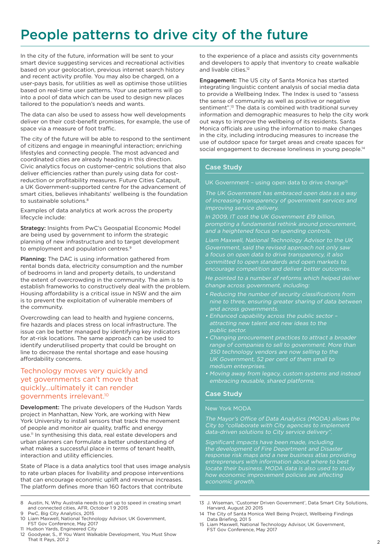# People patterns to drive city of the future

In the city of the future, information will be sent to your smart device suggesting services and recreational activities based on your geolocation, previous internet search history and recent activity profile. You may also be charged, on a user-pays basis, for utilities as well as optimise those utilities based on real-time user patterns. Your use patterns will go into a pool of data which can be used to design new places tailored to the population's needs and wants.

The data can also be used to assess how well developments deliver on their cost-benefit promises, for example, the use of space via a measure of foot traffic.

The city of the future will be able to respond to the sentiment of citizens and engage in meaningful interaction; enriching lifestyles and connecting people. The most advanced and coordinated cities are already heading in this direction. Civic analytics focus on customer-centric solutions that also deliver efficiencies rather than purely using data for costreduction or profitability measures. Future Cities Catapult, a UK Government-supported centre for the advancement of smart cities, believes inhabitants' wellbeing is the foundation to sustainable solutions.<sup>8</sup>

Examples of data analytics at work across the property lifecycle include:

Strategy: Insights from PwC's Geospatial Economic Model are being used by government to inform the strategic planning of new infrastructure and to target development to employment and population centres.9

Planning: The DAC is using information gathered from rental bonds data, electricity consumption and the number of bedrooms in land and property details, to understand the extent of overcrowding in the community. The aim is to establish frameworks to constructively deal with the problem. Housing affordability is a critical issue in NSW and the aim is to prevent the exploitation of vulnerable members of the community.

Overcrowding can lead to health and hygiene concerns, fire hazards and places stress on local infrastructure. The issue can be better managed by identifying key indicators for at-risk locations. The same approach can be used to identify underutilised property that could be brought on line to decrease the rental shortage and ease housing affordability concerns.

### Technology moves very quickly and yet governments can't move that quickly…ultimately it can render governments irrelevant.10

Development: The private developers of the Hudson Yards project in Manhattan, New York, are working with New York University to install sensors that track the movement of people and monitor air quality, traffic and energy use.11 In synthesising this data, real estate developers and urban planners can formulate a better understanding of what makes a successful place in terms of tenant health. interaction and utility efficiencies.

State of Place is a data analytics tool that uses image analysis to rate urban places for livability and propose interventions that can encourage economic uplift and revenue increases. The platform defines more than 160 factors that contribute

- 8 Austin, N, Why Australia needs to get up to speed in creating smart and connected cities, AFR, October 1 9 2015
- 9 PwC, Big City Analytics, 2015 10 Liam Maxwell, National Technology Advisor, UK Government, FST Gov Conference, May 2017
- 11 Hudson Yards, Engineered City
- 12 Goodyear, S., If You Want Walkable Development, You Must Show That It Pays, 201 2

to the experience of a place and assists city governments and developers to apply that inventory to create walkable and livable cities.<sup>12</sup>

Engagement: The US city of Santa Monica has started integrating linguistic content analysis of social media data to provide a Wellbeing Index. The Index is used to "assess the sense of community as well as positive or negative sentiment".<sup>13</sup> The data is combined with traditional survey information and demographic measures to help the city work out ways to improve the wellbeing of its residents. Santa Monica officials are using the information to make changes in the city, including introducing measures to increase the use of outdoor space for target areas and create spaces for social engagement to decrease loneliness in young people.<sup>14</sup>

### Case Study

UK Government - using open data to drive change<sup>15</sup>

The UK Government has embraced open data as a way of increasing transparency of government services and improving service delivery.

In 2009, IT cost the UK Government £19 billion, and a heightened focus on spending controls.

Liam Maxwell, National Technology Advisor to the UK Government, said the revised approach not only saw a focus on open data to drive transparency, it also committed to open standards and open markets to encourage competition and deliver better outcomes. He pointed to a number of reforms which helped deliver change across government, including:

- Reducing the number of security classifications from
- Enhanced capability across the public sector attracting new talent and new ideas to the public sector.
- Changing procurement practices to attract a broader range of companies to sell to government. More than 350 technology vendors are now selling to the medium enterprises.
- embracing reusable, shared platforms.

### Case Study

#### New York MODA

The Mayor's Office of Data Analytics (MODA) allows the City to "collaborate with City agencies to implement data-driven solutions to City service delivery".

Significant impacts have been made, including the development of Fire Department and Disaster response risk maps and a new business atlas providing entrepreneurs with information about where to best locate their business. MODA data is also used to study

- 13 J. Wiseman, 'Customer Driven Government', Data Smart City Solutions, Harvard, August 20 2015
- 14 The City of Santa Monica Well Being Project, Wellbeing Findings Data Briefing, 201 5
- 15 Liam Maxwell, National Technology Advisor, UK Government, FST Gov Conference, May 2017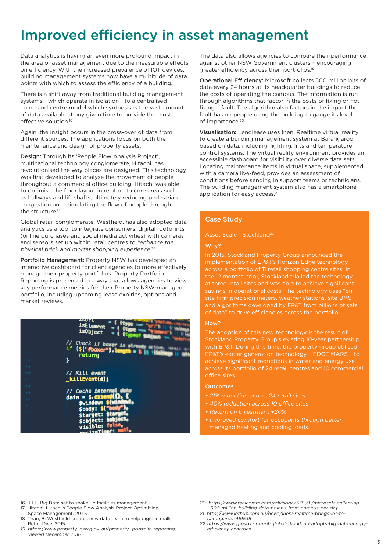# Improved efficiency in asset management

Data analytics is having an even more profound impact in the area of asset management due to the measurable effects on efficiency. With the increased prevalence of IOT devices, building management systems now have a multitude of data points with which to assess the efficiency of a building.

There is a shift away from traditional building management systems - which operate in isolation - to a centralised command centre model which synthesises the vast amount of data available at any given time to provide the most effective solution.16

Again, the insight occurs in the cross-over of data from different sources. The applications focus on both the maintenance and design of property assets.

Design: Through its 'People Flow Analysis Project'. multinational technology conglomerate, Hitachi, has revolutionised the way places are designed. This technology was first developed to analyse the movement of people throughout a commercial office building. Hitachi was able to optimise the floor layout in relation to core areas such as hallways and lift shafts, ultimately reducing pedestrian congestion and stimulating the flow of people through the structure.<sup>17</sup>

Global retail conglomerate, Westfield, has also adopted data analytics as a tool to integrate consumers' digital footprints (online purchases and social media activities) with cameras and sensors set up within retail centres to "enhance the physical brick and mortar shopping experience"<sup>18</sup>

Portfolio Management: Property NSW has developed an interactive dashboard for client agencies to more effectively manage their property portfolios. Property Portfolio Reporting is presented in a way that allows agencies to view key performance metrics for their Property NSW-managed portfolio, including upcoming lease expiries, options and market reviews.



The data also allows agencies to compare their performance against other NSW Government clusters – encouraging greater efficiency across their portfolios.19

Operational Efficiency: Microsoft collects 500 million bits of data every 24 hours at its headquarter buildings to reduce the costs of operating the campus. The information is run through algorithms that factor in the costs of fixing or not fixing a fault. The algorithm also factors in the impact the fault has on people using the building to gauge its level of importance.<sup>20</sup>

Visualisation: Lendlease uses Ineni Realtime virtual reality to create a building management system at Barangaroo based on data, including: lighting, lifts and temperature control systems. The virtual reality environment provides an accessible dashboard for visibility over diverse data sets. Locating maintenance items in virtual space, supplemented with a camera live-feed, provides an assessment of conditions before sending in support teams or technicians. The building management system also has a smartphone application for easy access.<sup>21</sup>

#### Case Study

#### Asset Scale - Stockland<sup>22</sup>

#### Why?

In 2015, Stockland Property Group announced the implementation of EP&T's Horizon Edge technology across a portfolio of 11 retail shopping centre sites. In the 12 months prior, Stockland trialled the technology at three retail sites and was able to achieve significant savings in operational costs. The technology uses "on site high precision meters, weather stations, site BMS and algorithms developed by EP&T from billions of sets of data" to drive efficiencies across the portfolio.

#### How?

The adoption of this new technology is the result of Stockland Property Group's existing 10-year partnership with EP&T. During this time, the property group utilised EP&T's earlier generation technology – EDGE MARS – to achieve significant reductions in water and energy use

#### **Outcomes**

- 21% reduction across 24 retail sites
- 40% reduction across 10 office sites
- Return on Investment +20%
- Improved comfort for occupants through better managed heating and cooling loads.

- 16 J LL, Big Data set to shake up facilities management
- 17 Hitachi, Hitachi's People Flow Analysis Project Optimizing Space Management, 201 5
- 18 Thau, B. Westf ield creates new data team to help digitize malls, Retail Dive, 2015
- 19 https://www.property .nsw.g ov. au/property -portfolio-reporting, viewed December 2016

<sup>20</sup> https://www.realcomm.com/advisory /579 /1 /microsoft-collecting -500-million-building-data-point s-from-campus-per-day

<sup>21</sup> http://www.iothub.com.au/news/ineni-realtime-brings-iot-tobarangaroo-419535

<sup>22</sup> https://www.gresb.com/ept-global-stockland-adopts-big-data-energyefficiency-analytics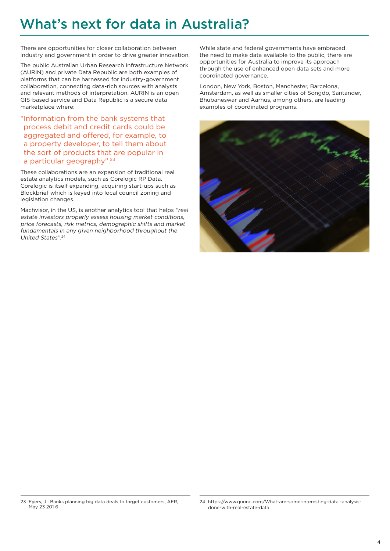# What's next for data in Australia?

There are opportunities for closer collaboration between industry and government in order to drive greater innovation.

The public Australian Urban Research Infrastructure Network (AURIN) and private Data Republic are both examples of platforms that can be harnessed for industry-government collaboration, connecting data-rich sources with analysts and relevant methods of interpretation. AURIN is an open GIS-based service and Data Republic is a secure data marketplace where:

"Information from the bank systems that process debit and credit cards could be aggregated and offered, for example, to a property developer, to tell them about the sort of products that are popular in a particular geography".23

These collaborations are an expansion of traditional real estate analytics models, such as Corelogic RP Data. Corelogic is itself expanding, acquiring start-ups such as Blockbrief which is keyed into local council zoning and legislation changes.

Machvisor, in the US, is another analytics tool that helps "real estate investors properly assess housing market conditions, price forecasts, risk metrics, demographic shifts and market fundamentals in any given neighborhood throughout the United States". 24

While state and federal governments have embraced the need to make data available to the public, there are opportunities for Australia to improve its approach through the use of enhanced open data sets and more coordinated governance.

London, New York, Boston, Manchester, Barcelona, Amsterdam, as well as smaller cities of Songdo, Santander, Bhubaneswar and Aarhus, among others, are leading examples of coordinated programs.



<sup>23</sup> Eyers, J . Banks planning big data deals to target customers, AFR, May 23 201 6

<sup>24</sup> https://www.quora .com/What-are-some-interesting-data -analysisdone-with-real-estate-data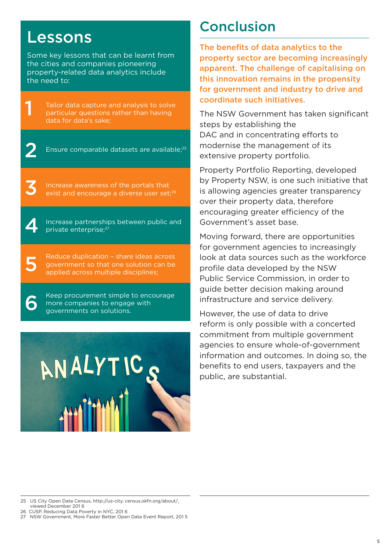# Lessons

1

2

3

4

5

6

Some key lessons that can be learnt from the cities and companies pioneering property-related data analytics include the need to:

Tailor data capture and analysis to solve particular questions rather than having data for data's sake;

Ensure comparable datasets are available;<sup>25</sup>

Increase awareness of the portals that exist and encourage a diverse user set:<sup>26</sup>

Increase partnerships between public and private enterprise;27

Reduce duplication – share ideas across government so that one solution can be applied across multiple disciplines;

Keep procurement simple to encourage more companies to engage with governments on solutions.



# Conclusion

The benefits of data analytics to the property sector are becoming increasingly apparent. The challenge of capitalising on this innovation remains in the propensity for government and industry to drive and coordinate such initiatives.

The NSW Government has taken significant steps by establishing the DAC and in concentrating efforts to modernise the management of its extensive property portfolio.

Property Portfolio Reporting, developed by Property NSW, is one such initiative that is allowing agencies greater transparency over their property data, therefore encouraging greater efficiency of the Government's asset base.

Moving forward, there are opportunities for government agencies to increasingly look at data sources such as the workforce profile data developed by the NSW Public Service Commission, in order to guide better decision making around infrastructure and service delivery.

However, the use of data to drive reform is only possible with a concerted commitment from multiple government agencies to ensure whole-of-government information and outcomes. In doing so, the benefits to end users, taxpayers and the public, are substantial.

- 26 CUSP, Reducing Data Poverty in NYC, 201 6
- 27 NSW Government, More Faster Better Open Data Event Report, 201 5

<sup>25</sup> US City Open Data Census, http://us-city. census.okfn.org/about/, viewed December 201 6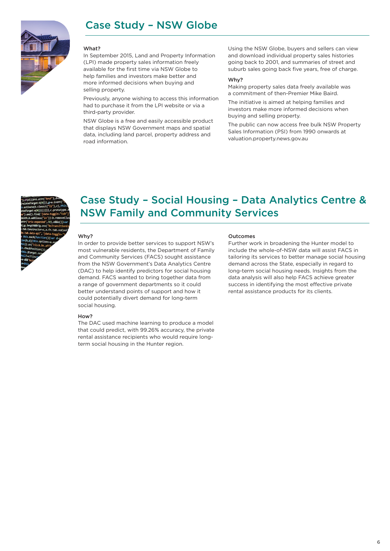## Case Study – NSW Globe



#### What?

In September 2015, Land and Property Information (LPI) made property sales information freely available for the first time via NSW Globe to help families and investors make better and more informed decisions when buying and selling property.

Previously, anyone wishing to access this information had to purchase it from the LPI website or via a third-party provider.

NSW Globe is a free and easily accessible product that displays NSW Government maps and spatial data, including land parcel, property address and road information.

Using the NSW Globe, buyers and sellers can view and download individual property sales histories going back to 2001, and summaries of street and suburb sales going back five years, free of charge.

#### Why?

Making property sales data freely available was a commitment of then-Premier Mike Baird.

The initiative is aimed at helping families and investors make more informed decisions when buying and selling property.

The public can now access free bulk NSW Property Sales Information (PSI) from 1990 onwards at valuation.property.news.gov.au



## Case Study – Social Housing – Data Analytics Centre & NSW Family and Community Services

#### Why?

In order to provide better services to support NSW's most vulnerable residents, the Department of Family and Community Services (FACS) sought assistance from the NSW Government's Data Analytics Centre (DAC) to help identify predictors for social housing demand. FACS wanted to bring together data from a range of government departments so it could better understand points of support and how it could potentially divert demand for long-term social housing.

#### How?

The DAC used machine learning to produce a model that could predict, with 99.26% accuracy, the private rental assistance recipients who would require longterm social housing in the Hunter region.

#### Outcomes

Further work in broadening the Hunter model to include the whole-of-NSW data will assist FACS in tailoring its services to better manage social housing demand across the State, especially in regard to long-term social housing needs. Insights from the data analysis will also help FACS achieve greater success in identifying the most effective private rental assistance products for its clients.